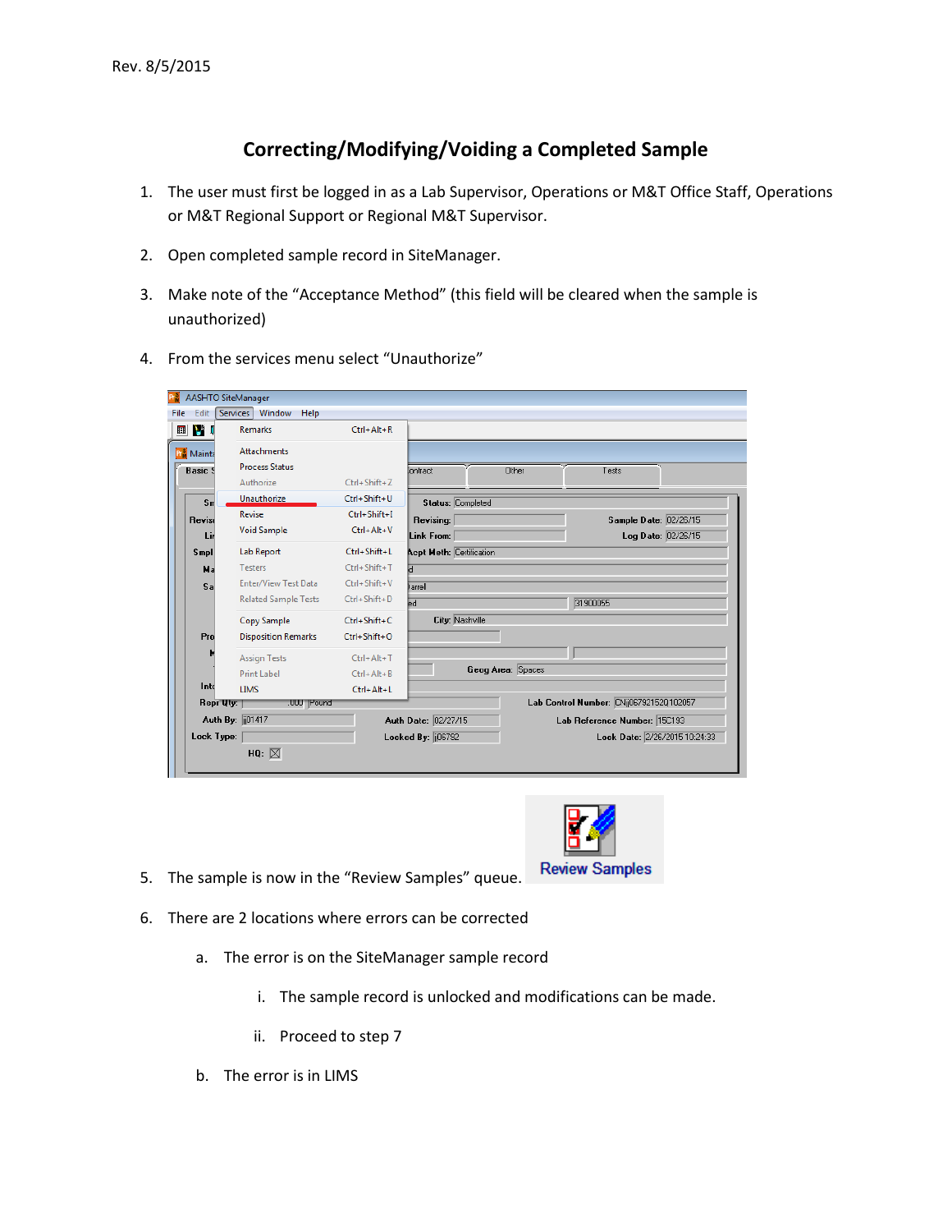# **Correcting/Modifying/Voiding a Completed Sample**

- 1. The user must first be logged in as a Lab Supervisor, Operations or M&T Office Staff, Operations or M&T Regional Support or Regional M&T Supervisor.
- 2. Open completed sample record in SiteManager.
- 3. Make note of the "Acceptance Method" (this field will be cleared when the sample is unauthorized)
- 4. From the services menu select "Unauthorize"

|                     | Services   Window<br>Help<br><b>Remarks</b> | $Ctrl + Alt + R$   |                                 |       |                                         |                    |
|---------------------|---------------------------------------------|--------------------|---------------------------------|-------|-----------------------------------------|--------------------|
| M<br>$\blacksquare$ |                                             |                    |                                 |       |                                         |                    |
| <b>P.</b> Mainta    | <b>Attachments</b>                          |                    |                                 |       |                                         |                    |
| <b>Basic 9</b>      | <b>Process Status</b>                       |                    | Iontract                        | Other | Tests                                   |                    |
|                     | Authorize                                   | Ctrl+Shift+Z       |                                 |       |                                         |                    |
| S <sub>II</sub>     | Unauthorize                                 | Ctrl+Shift+U       | Status: Completed               |       |                                         |                    |
| Revise              | Revise                                      | Ctrl+Shift+I       | <b>Revising:</b>                |       | Sample Date: 02/26/15                   |                    |
| Lir                 | <b>Void Sample</b>                          | $Ctrl + Alt + V$   | Link From:                      |       |                                         | Log Date: 02/26/15 |
| Smpl                | <b>Lab Report</b>                           | Ctrl+Shift+L       | <b>Acpt Meth: Certification</b> |       |                                         |                    |
| Ma                  | Testers                                     | Ctrl+Shift+T       | П                               |       |                                         |                    |
| Sa                  | Enter/View Test Data                        | $Ctrl + Shift + V$ | arrell                          |       |                                         |                    |
|                     | <b>Related Sample Tests</b>                 | $Ctrl + Shift + D$ | ed                              |       | 31900055                                |                    |
|                     | Copy Sample                                 | Ctrl+Shift+C       | City: Nashville                 |       |                                         |                    |
| Pro                 | <b>Disposition Remarks</b>                  | Ctrl+Shift+O       |                                 |       |                                         |                    |
|                     | <b>Assign Tests</b>                         | $Ctrl + Alt + T$   |                                 |       |                                         |                    |
|                     | <b>Print Label</b>                          | $Ctrl + Alt + B$   | Geog Area: Spaces               |       |                                         |                    |
| Into                | <b>LIMS</b>                                 | Ctrl+Alt+L         |                                 |       |                                         |                    |
| Repr Uty:           | .UUU Pound                                  |                    |                                 |       | Lab Control Number: CNij06792152Q102057 |                    |
|                     | Auth By: [101417]                           |                    | Auth Date: 02/27/15             |       | Lab Reference Number: 15C193            |                    |
| Lock Type:          |                                             |                    | Locked By: $\frac{1}{1006792}$  |       | Lock Date: 2/26/2015 10:24:33           |                    |



- 5. The sample is now in the "Review Samples" queue.
- 6. There are 2 locations where errors can be corrected
	- a. The error is on the SiteManager sample record
		- i. The sample record is unlocked and modifications can be made.
		- ii. Proceed to step 7
	- b. The error is in LIMS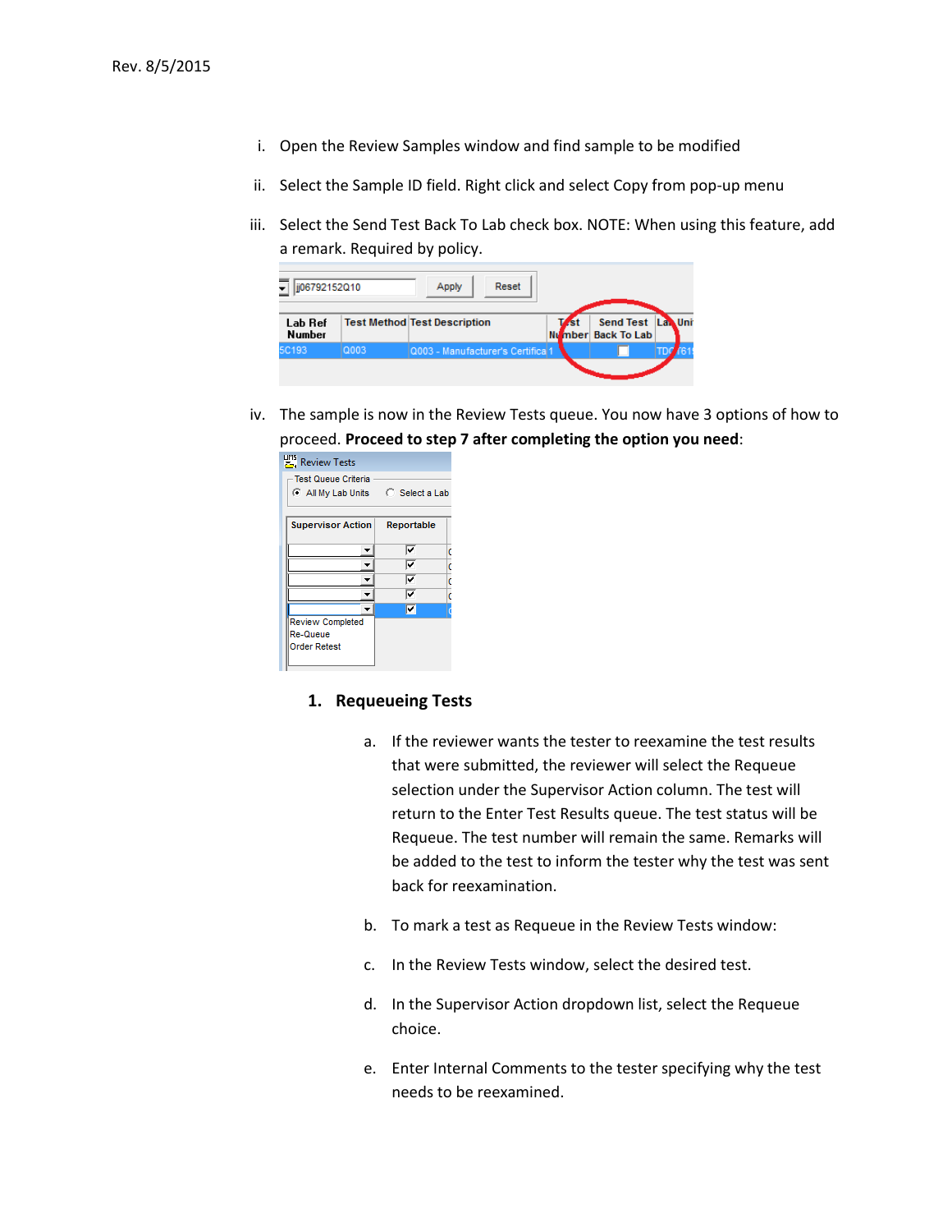- i. Open the Review Samples window and find sample to be modified
- ii. Select the Sample ID field. Right click and select Copy from pop-up menu
- iii. Select the Send Test Back To Lab check box. NOTE: When using this feature, add a remark. Required by policy.

| jj06792152Q10            |      | Reset<br>Apply                               |    |     |                                      |  |
|--------------------------|------|----------------------------------------------|----|-----|--------------------------------------|--|
| Lab Ref<br><b>Number</b> |      | <b>Test Method Test Description</b>          | Nu | .st | Send Test La Uni<br>mber Back To Lab |  |
| 5C193                    | Q003 | Q003 - Manufacturer's Certifica <sup>1</sup> |    |     |                                      |  |
|                          |      |                                              |    |     |                                      |  |

iv. The sample is now in the Review Tests queue. You now have 3 options of how to proceed. **Proceed to step 7 after completing the option you need**:

| C All My Lab Units C Select a Lab      |
|----------------------------------------|
| <b>Supervisor Action</b><br>Reportable |
| V                                      |
| ⊽                                      |
| ⊽                                      |
| ⊽                                      |
| ⊽                                      |
|                                        |
|                                        |
|                                        |
|                                        |

### **1. Requeueing Tests**

- a. If the reviewer wants the tester to reexamine the test results that were submitted, the reviewer will select the Requeue selection under the Supervisor Action column. The test will return to the Enter Test Results queue. The test status will be Requeue. The test number will remain the same. Remarks will be added to the test to inform the tester why the test was sent back for reexamination.
- b. To mark a test as Requeue in the Review Tests window:
- c. In the Review Tests window, select the desired test.
- d. In the Supervisor Action dropdown list, select the Requeue choice.
- e. Enter Internal Comments to the tester specifying why the test needs to be reexamined.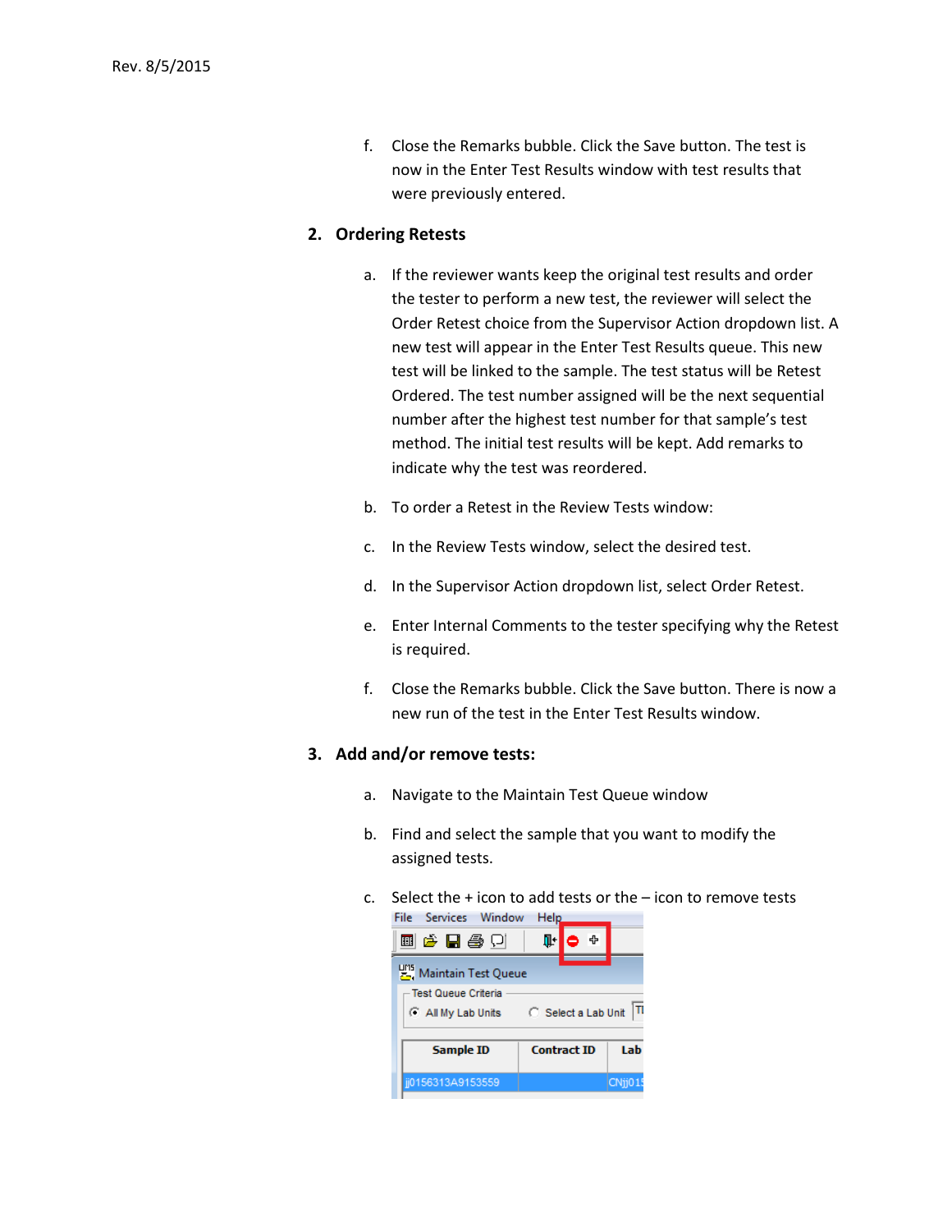f. Close the Remarks bubble. Click the Save button. The test is now in the Enter Test Results window with test results that were previously entered.

### **2. Ordering Retests**

- a. If the reviewer wants keep the original test results and order the tester to perform a new test, the reviewer will select the Order Retest choice from the Supervisor Action dropdown list. A new test will appear in the Enter Test Results queue. This new test will be linked to the sample. The test status will be Retest Ordered. The test number assigned will be the next sequential number after the highest test number for that sample's test method. The initial test results will be kept. Add remarks to indicate why the test was reordered.
- b. To order a Retest in the Review Tests window:
- c. In the Review Tests window, select the desired test.
- d. In the Supervisor Action dropdown list, select Order Retest.
- e. Enter Internal Comments to the tester specifying why the Retest is required.
- f. Close the Remarks bubble. Click the Save button. There is now a new run of the test in the Enter Test Results window.

#### **3. Add and/or remove tests:**

- a. Navigate to the Maintain Test Queue window
- b. Find and select the sample that you want to modify the assigned tests.
- c. Select the + icon to add tests or the icon to remove tests File Services Window Help